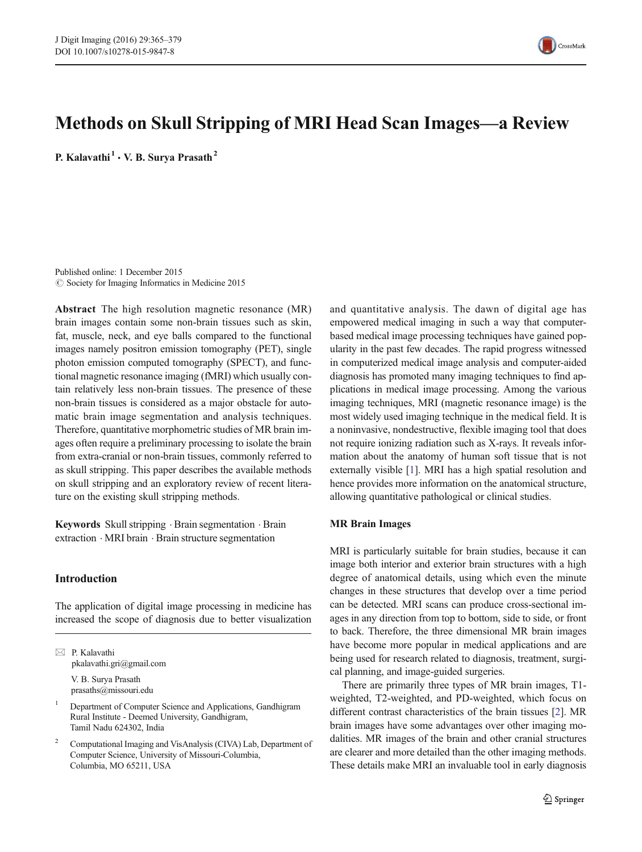

# Methods on Skull Stripping of MRI Head Scan Images—a Review

P. Kalavathi $<sup>1</sup> \cdot V$ . B. Surva Prasath<sup>2</sup></sup>

Published online: 1 December 2015  $\oslash$  Society for Imaging Informatics in Medicine 2015

Abstract The high resolution magnetic resonance (MR) brain images contain some non-brain tissues such as skin, fat, muscle, neck, and eye balls compared to the functional images namely positron emission tomography (PET), single photon emission computed tomography (SPECT), and functional magnetic resonance imaging (fMRI) which usually contain relatively less non-brain tissues. The presence of these non-brain tissues is considered as a major obstacle for automatic brain image segmentation and analysis techniques. Therefore, quantitative morphometric studies of MR brain images often require a preliminary processing to isolate the brain from extra-cranial or non-brain tissues, commonly referred to as skull stripping. This paper describes the available methods on skull stripping and an exploratory review of recent literature on the existing skull stripping methods.

Keywords Skull stripping . Brain segmentation . Brain extraction . MRI brain . Brain structure segmentation

# Introduction

The application of digital image processing in medicine has increased the scope of diagnosis due to better visualization

 $\boxtimes$  P. Kalavathi pkalavathi.gri@gmail.com V. B. Surya Prasath

prasaths@missouri.edu

<sup>1</sup> Department of Computer Science and Applications, Gandhigram Rural Institute - Deemed University, Gandhigram, Tamil Nadu 624302, India

<sup>2</sup> Computational Imaging and VisAnalysis (CIVA) Lab, Department of Computer Science, University of Missouri-Columbia, Columbia, MO 65211, USA

and quantitative analysis. The dawn of digital age has empowered medical imaging in such a way that computerbased medical image processing techniques have gained popularity in the past few decades. The rapid progress witnessed in computerized medical image analysis and computer-aided diagnosis has promoted many imaging techniques to find applications in medical image processing. Among the various imaging techniques, MRI (magnetic resonance image) is the most widely used imaging technique in the medical field. It is a noninvasive, nondestructive, flexible imaging tool that does not require ionizing radiation such as X-rays. It reveals information about the anatomy of human soft tissue that is not externally visible [\[1\]](#page-12-0). MRI has a high spatial resolution and hence provides more information on the anatomical structure, allowing quantitative pathological or clinical studies.

## MR Brain Images

MRI is particularly suitable for brain studies, because it can image both interior and exterior brain structures with a high degree of anatomical details, using which even the minute changes in these structures that develop over a time period can be detected. MRI scans can produce cross-sectional images in any direction from top to bottom, side to side, or front to back. Therefore, the three dimensional MR brain images have become more popular in medical applications and are being used for research related to diagnosis, treatment, surgical planning, and image-guided surgeries.

There are primarily three types of MR brain images, T1 weighted, T2-weighted, and PD-weighted, which focus on different contrast characteristics of the brain tissues [\[2](#page-12-0)]. MR brain images have some advantages over other imaging modalities. MR images of the brain and other cranial structures are clearer and more detailed than the other imaging methods. These details make MRI an invaluable tool in early diagnosis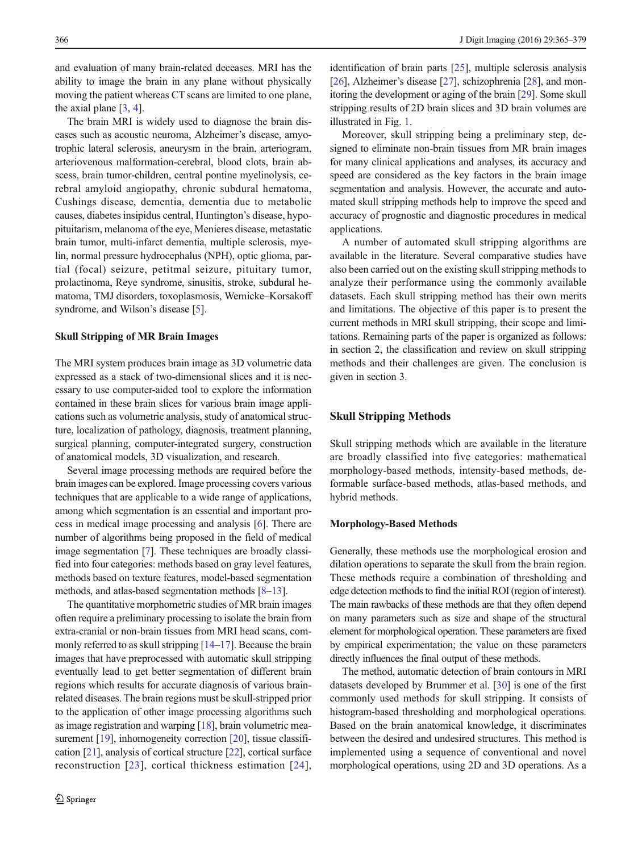and evaluation of many brain-related deceases. MRI has the ability to image the brain in any plane without physically moving the patient whereas CT scans are limited to one plane, the axial plane [[3](#page-12-0), [4](#page-12-0)].

The brain MRI is widely used to diagnose the brain diseases such as acoustic neuroma, Alzheimer's disease, amyotrophic lateral sclerosis, aneurysm in the brain, arteriogram, arteriovenous malformation-cerebral, blood clots, brain abscess, brain tumor-children, central pontine myelinolysis, cerebral amyloid angiopathy, chronic subdural hematoma, Cushings disease, dementia, dementia due to metabolic causes, diabetes insipidus central, Huntington's disease, hypopituitarism, melanoma of the eye, Menieres disease, metastatic brain tumor, multi-infarct dementia, multiple sclerosis, myelin, normal pressure hydrocephalus (NPH), optic glioma, partial (focal) seizure, petitmal seizure, pituitary tumor, prolactinoma, Reye syndrome, sinusitis, stroke, subdural hematoma, TMJ disorders, toxoplasmosis, Wernicke–Korsakoff syndrome, and Wilson's disease [\[5](#page-12-0)].

#### Skull Stripping of MR Brain Images

The MRI system produces brain image as 3D volumetric data expressed as a stack of two-dimensional slices and it is necessary to use computer-aided tool to explore the information contained in these brain slices for various brain image applications such as volumetric analysis, study of anatomical structure, localization of pathology, diagnosis, treatment planning, surgical planning, computer-integrated surgery, construction of anatomical models, 3D visualization, and research.

Several image processing methods are required before the brain images can be explored. Image processing covers various techniques that are applicable to a wide range of applications, among which segmentation is an essential and important process in medical image processing and analysis [[6](#page-12-0)]. There are number of algorithms being proposed in the field of medical image segmentation [[7\]](#page-12-0). These techniques are broadly classified into four categories: methods based on gray level features, methods based on texture features, model-based segmentation methods, and atlas-based segmentation methods [\[8](#page-12-0)–[13\]](#page-12-0).

The quantitative morphometric studies of MR brain images often require a preliminary processing to isolate the brain from extra-cranial or non-brain tissues from MRI head scans, commonly referred to as skull stripping [\[14](#page-12-0)–[17\]](#page-12-0). Because the brain images that have preprocessed with automatic skull stripping eventually lead to get better segmentation of different brain regions which results for accurate diagnosis of various brainrelated diseases. The brain regions must be skull-stripped prior to the application of other image processing algorithms such as image registration and warping [\[18](#page-12-0)], brain volumetric mea-surement [\[19](#page-12-0)], inhomogeneity correction [\[20\]](#page-12-0), tissue classification [\[21\]](#page-12-0), analysis of cortical structure [\[22](#page-12-0)], cortical surface reconstruction [[23](#page-12-0)], cortical thickness estimation [\[24](#page-12-0)],

identification of brain parts [[25](#page-12-0)], multiple sclerosis analysis [\[26](#page-12-0)], Alzheimer's disease [\[27\]](#page-12-0), schizophrenia [[28\]](#page-13-0), and monitoring the development or aging of the brain [[29](#page-13-0)]. Some skull stripping results of 2D brain slices and 3D brain volumes are illustrated in Fig. [1](#page-2-0).

Moreover, skull stripping being a preliminary step, designed to eliminate non-brain tissues from MR brain images for many clinical applications and analyses, its accuracy and speed are considered as the key factors in the brain image segmentation and analysis. However, the accurate and automated skull stripping methods help to improve the speed and accuracy of prognostic and diagnostic procedures in medical applications.

A number of automated skull stripping algorithms are available in the literature. Several comparative studies have also been carried out on the existing skull stripping methods to analyze their performance using the commonly available datasets. Each skull stripping method has their own merits and limitations. The objective of this paper is to present the current methods in MRI skull stripping, their scope and limitations. Remaining parts of the paper is organized as follows: in section 2, the classification and review on skull stripping methods and their challenges are given. The conclusion is given in section 3.

# Skull Stripping Methods

Skull stripping methods which are available in the literature are broadly classified into five categories: mathematical morphology-based methods, intensity-based methods, deformable surface-based methods, atlas-based methods, and hybrid methods.

#### Morphology-Based Methods

Generally, these methods use the morphological erosion and dilation operations to separate the skull from the brain region. These methods require a combination of thresholding and edge detection methods to find the initial ROI (region of interest). The main rawbacks of these methods are that they often depend on many parameters such as size and shape of the structural element for morphological operation. These parameters are fixed by empirical experimentation; the value on these parameters directly influences the final output of these methods.

The method, automatic detection of brain contours in MRI datasets developed by Brummer et al. [[30\]](#page-13-0) is one of the first commonly used methods for skull stripping. It consists of histogram-based thresholding and morphological operations. Based on the brain anatomical knowledge, it discriminates between the desired and undesired structures. This method is implemented using a sequence of conventional and novel morphological operations, using 2D and 3D operations. As a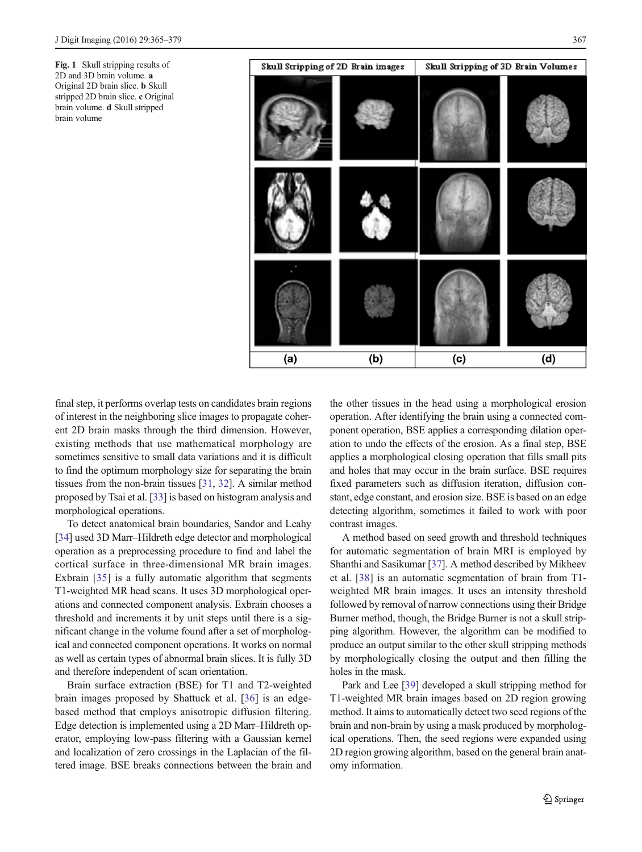<span id="page-2-0"></span>Fig. 1 Skull stripping results of 2D and 3D brain volume. a Original 2D brain slice. b Skull stripped 2D brain slice. c Original brain volume. d Skull stripped brain volume



final step, it performs overlap tests on candidates brain regions of interest in the neighboring slice images to propagate coherent 2D brain masks through the third dimension. However, existing methods that use mathematical morphology are sometimes sensitive to small data variations and it is difficult to find the optimum morphology size for separating the brain tissues from the non-brain tissues [[31](#page-13-0), [32](#page-13-0)]. A similar method proposed by Tsai et al. [[33\]](#page-13-0) is based on histogram analysis and morphological operations.

To detect anatomical brain boundaries, Sandor and Leahy [\[34\]](#page-13-0) used 3D Marr–Hildreth edge detector and morphological operation as a preprocessing procedure to find and label the cortical surface in three-dimensional MR brain images. Exbrain [[35\]](#page-13-0) is a fully automatic algorithm that segments T1-weighted MR head scans. It uses 3D morphological operations and connected component analysis. Exbrain chooses a threshold and increments it by unit steps until there is a significant change in the volume found after a set of morphological and connected component operations. It works on normal as well as certain types of abnormal brain slices. It is fully 3D and therefore independent of scan orientation.

Brain surface extraction (BSE) for T1 and T2-weighted brain images proposed by Shattuck et al. [[36\]](#page-13-0) is an edgebased method that employs anisotropic diffusion filtering. Edge detection is implemented using a 2D Marr–Hildreth operator, employing low-pass filtering with a Gaussian kernel and localization of zero crossings in the Laplacian of the filtered image. BSE breaks connections between the brain and the other tissues in the head using a morphological erosion operation. After identifying the brain using a connected component operation, BSE applies a corresponding dilation operation to undo the effects of the erosion. As a final step, BSE applies a morphological closing operation that fills small pits and holes that may occur in the brain surface. BSE requires fixed parameters such as diffusion iteration, diffusion constant, edge constant, and erosion size. BSE is based on an edge detecting algorithm, sometimes it failed to work with poor contrast images.

A method based on seed growth and threshold techniques for automatic segmentation of brain MRI is employed by Shanthi and Sasikumar [\[37](#page-13-0)]. A method described by Mikheev et al. [\[38](#page-13-0)] is an automatic segmentation of brain from T1 weighted MR brain images. It uses an intensity threshold followed by removal of narrow connections using their Bridge Burner method, though, the Bridge Burner is not a skull stripping algorithm. However, the algorithm can be modified to produce an output similar to the other skull stripping methods by morphologically closing the output and then filling the holes in the mask.

Park and Lee [[39\]](#page-13-0) developed a skull stripping method for T1-weighted MR brain images based on 2D region growing method. It aims to automatically detect two seed regions of the brain and non-brain by using a mask produced by morphological operations. Then, the seed regions were expanded using 2D region growing algorithm, based on the general brain anatomy information.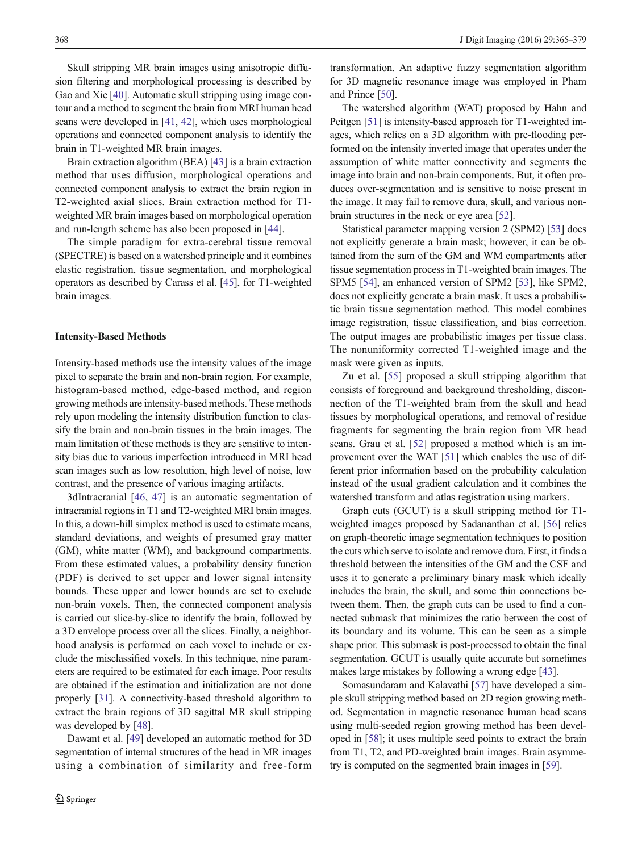Skull stripping MR brain images using anisotropic diffusion filtering and morphological processing is described by Gao and Xie [\[40\]](#page-13-0). Automatic skull stripping using image contour and a method to segment the brain from MRI human head scans were developed in [\[41,](#page-13-0) [42\]](#page-13-0), which uses morphological operations and connected component analysis to identify the brain in T1-weighted MR brain images.

Brain extraction algorithm (BEA) [\[43\]](#page-13-0) is a brain extraction method that uses diffusion, morphological operations and connected component analysis to extract the brain region in T2-weighted axial slices. Brain extraction method for T1 weighted MR brain images based on morphological operation and run-length scheme has also been proposed in [[44\]](#page-13-0).

The simple paradigm for extra-cerebral tissue removal (SPECTRE) is based on a watershed principle and it combines elastic registration, tissue segmentation, and morphological operators as described by Carass et al. [\[45](#page-13-0)], for T1-weighted brain images.

#### Intensity-Based Methods

Intensity-based methods use the intensity values of the image pixel to separate the brain and non-brain region. For example, histogram-based method, edge-based method, and region growing methods are intensity-based methods. These methods rely upon modeling the intensity distribution function to classify the brain and non-brain tissues in the brain images. The main limitation of these methods is they are sensitive to intensity bias due to various imperfection introduced in MRI head scan images such as low resolution, high level of noise, low contrast, and the presence of various imaging artifacts.

3dIntracranial [[46,](#page-13-0) [47](#page-13-0)] is an automatic segmentation of intracranial regions in T1 and T2-weighted MRI brain images. In this, a down-hill simplex method is used to estimate means, standard deviations, and weights of presumed gray matter (GM), white matter (WM), and background compartments. From these estimated values, a probability density function (PDF) is derived to set upper and lower signal intensity bounds. These upper and lower bounds are set to exclude non-brain voxels. Then, the connected component analysis is carried out slice-by-slice to identify the brain, followed by a 3D envelope process over all the slices. Finally, a neighborhood analysis is performed on each voxel to include or exclude the misclassified voxels. In this technique, nine parameters are required to be estimated for each image. Poor results are obtained if the estimation and initialization are not done properly [\[31](#page-13-0)]. A connectivity-based threshold algorithm to extract the brain regions of 3D sagittal MR skull stripping was developed by [\[48\]](#page-13-0).

Dawant et al. [\[49\]](#page-13-0) developed an automatic method for 3D segmentation of internal structures of the head in MR images using a combination of similarity and free-form

transformation. An adaptive fuzzy segmentation algorithm for 3D magnetic resonance image was employed in Pham and Prince [\[50](#page-13-0)].

The watershed algorithm (WAT) proposed by Hahn and Peitgen [\[51\]](#page-13-0) is intensity-based approach for T1-weighted images, which relies on a 3D algorithm with pre-flooding performed on the intensity inverted image that operates under the assumption of white matter connectivity and segments the image into brain and non-brain components. But, it often produces over-segmentation and is sensitive to noise present in the image. It may fail to remove dura, skull, and various nonbrain structures in the neck or eye area [[52\]](#page-13-0).

Statistical parameter mapping version 2 (SPM2) [[53\]](#page-13-0) does not explicitly generate a brain mask; however, it can be obtained from the sum of the GM and WM compartments after tissue segmentation process in T1-weighted brain images. The SPM5 [\[54\]](#page-13-0), an enhanced version of SPM2 [\[53](#page-13-0)], like SPM2, does not explicitly generate a brain mask. It uses a probabilistic brain tissue segmentation method. This model combines image registration, tissue classification, and bias correction. The output images are probabilistic images per tissue class. The nonuniformity corrected T1-weighted image and the mask were given as inputs.

Zu et al. [[55\]](#page-13-0) proposed a skull stripping algorithm that consists of foreground and background thresholding, disconnection of the T1-weighted brain from the skull and head tissues by morphological operations, and removal of residue fragments for segmenting the brain region from MR head scans. Grau et al. [\[52\]](#page-13-0) proposed a method which is an improvement over the WAT [[51\]](#page-13-0) which enables the use of different prior information based on the probability calculation instead of the usual gradient calculation and it combines the watershed transform and atlas registration using markers.

Graph cuts (GCUT) is a skull stripping method for T1 weighted images proposed by Sadananthan et al. [\[56\]](#page-13-0) relies on graph-theoretic image segmentation techniques to position the cuts which serve to isolate and remove dura. First, it finds a threshold between the intensities of the GM and the CSF and uses it to generate a preliminary binary mask which ideally includes the brain, the skull, and some thin connections between them. Then, the graph cuts can be used to find a connected submask that minimizes the ratio between the cost of its boundary and its volume. This can be seen as a simple shape prior. This submask is post-processed to obtain the final segmentation. GCUT is usually quite accurate but sometimes makes large mistakes by following a wrong edge [\[43\]](#page-13-0).

Somasundaram and Kalavathi [\[57](#page-13-0)] have developed a simple skull stripping method based on 2D region growing method. Segmentation in magnetic resonance human head scans using multi-seeded region growing method has been developed in [[58](#page-13-0)]; it uses multiple seed points to extract the brain from T1, T2, and PD-weighted brain images. Brain asymmetry is computed on the segmented brain images in [\[59](#page-13-0)].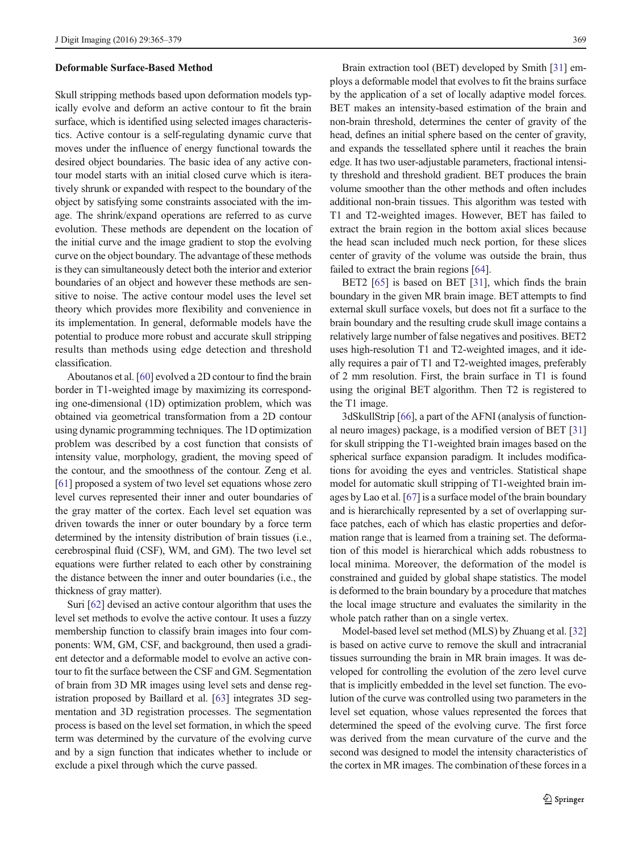#### Deformable Surface-Based Method

Skull stripping methods based upon deformation models typically evolve and deform an active contour to fit the brain surface, which is identified using selected images characteristics. Active contour is a self-regulating dynamic curve that moves under the influence of energy functional towards the desired object boundaries. The basic idea of any active contour model starts with an initial closed curve which is iteratively shrunk or expanded with respect to the boundary of the object by satisfying some constraints associated with the image. The shrink/expand operations are referred to as curve evolution. These methods are dependent on the location of the initial curve and the image gradient to stop the evolving curve on the object boundary. The advantage of these methods is they can simultaneously detect both the interior and exterior boundaries of an object and however these methods are sensitive to noise. The active contour model uses the level set theory which provides more flexibility and convenience in its implementation. In general, deformable models have the potential to produce more robust and accurate skull stripping results than methods using edge detection and threshold classification.

Aboutanos et al. [[60](#page-13-0)] evolved a 2D contour to find the brain border in T1-weighted image by maximizing its corresponding one-dimensional (1D) optimization problem, which was obtained via geometrical transformation from a 2D contour using dynamic programming techniques. The 1D optimization problem was described by a cost function that consists of intensity value, morphology, gradient, the moving speed of the contour, and the smoothness of the contour. Zeng et al. [\[61\]](#page-13-0) proposed a system of two level set equations whose zero level curves represented their inner and outer boundaries of the gray matter of the cortex. Each level set equation was driven towards the inner or outer boundary by a force term determined by the intensity distribution of brain tissues (i.e., cerebrospinal fluid (CSF), WM, and GM). The two level set equations were further related to each other by constraining the distance between the inner and outer boundaries (i.e., the thickness of gray matter).

Suri [\[62\]](#page-13-0) devised an active contour algorithm that uses the level set methods to evolve the active contour. It uses a fuzzy membership function to classify brain images into four components: WM, GM, CSF, and background, then used a gradient detector and a deformable model to evolve an active contour to fit the surface between the CSF and GM. Segmentation of brain from 3D MR images using level sets and dense registration proposed by Baillard et al. [[63\]](#page-13-0) integrates 3D segmentation and 3D registration processes. The segmentation process is based on the level set formation, in which the speed term was determined by the curvature of the evolving curve and by a sign function that indicates whether to include or exclude a pixel through which the curve passed.

Brain extraction tool (BET) developed by Smith [\[31](#page-13-0)] employs a deformable model that evolves to fit the brains surface by the application of a set of locally adaptive model forces. BET makes an intensity-based estimation of the brain and non-brain threshold, determines the center of gravity of the head, defines an initial sphere based on the center of gravity, and expands the tessellated sphere until it reaches the brain edge. It has two user-adjustable parameters, fractional intensity threshold and threshold gradient. BET produces the brain volume smoother than the other methods and often includes additional non-brain tissues. This algorithm was tested with T1 and T2-weighted images. However, BET has failed to extract the brain region in the bottom axial slices because the head scan included much neck portion, for these slices center of gravity of the volume was outside the brain, thus failed to extract the brain regions [[64](#page-13-0)].

BET2 [[65\]](#page-13-0) is based on BET [\[31\]](#page-13-0), which finds the brain boundary in the given MR brain image. BET attempts to find external skull surface voxels, but does not fit a surface to the brain boundary and the resulting crude skull image contains a relatively large number of false negatives and positives. BET2 uses high-resolution T1 and T2-weighted images, and it ideally requires a pair of T1 and T2-weighted images, preferably of 2 mm resolution. First, the brain surface in T1 is found using the original BET algorithm. Then T2 is registered to the T1 image.

3dSkullStrip [[66](#page-13-0)], a part of the AFNI (analysis of functional neuro images) package, is a modified version of BET [\[31](#page-13-0)] for skull stripping the T1-weighted brain images based on the spherical surface expansion paradigm. It includes modifications for avoiding the eyes and ventricles. Statistical shape model for automatic skull stripping of T1-weighted brain images by Lao et al. [\[67\]](#page-13-0) is a surface model of the brain boundary and is hierarchically represented by a set of overlapping surface patches, each of which has elastic properties and deformation range that is learned from a training set. The deformation of this model is hierarchical which adds robustness to local minima. Moreover, the deformation of the model is constrained and guided by global shape statistics. The model is deformed to the brain boundary by a procedure that matches the local image structure and evaluates the similarity in the whole patch rather than on a single vertex.

Model-based level set method (MLS) by Zhuang et al. [\[32](#page-13-0)] is based on active curve to remove the skull and intracranial tissues surrounding the brain in MR brain images. It was developed for controlling the evolution of the zero level curve that is implicitly embedded in the level set function. The evolution of the curve was controlled using two parameters in the level set equation, whose values represented the forces that determined the speed of the evolving curve. The first force was derived from the mean curvature of the curve and the second was designed to model the intensity characteristics of the cortex in MR images. The combination of these forces in a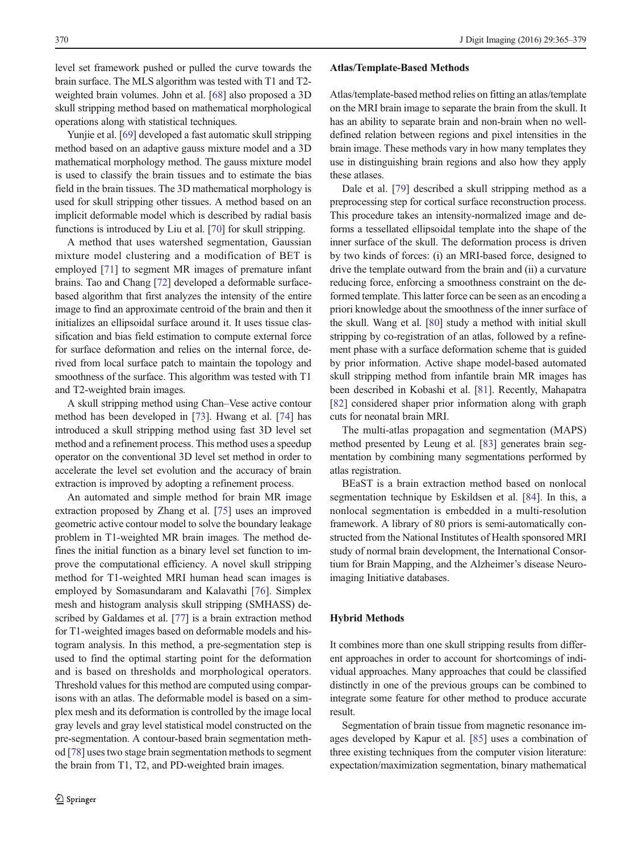level set framework pushed or pulled the curve towards the brain surface. The MLS algorithm was tested with T1 and T2 weighted brain volumes. John et al. [\[68\]](#page-13-0) also proposed a 3D skull stripping method based on mathematical morphological operations along with statistical techniques.

Yunjie et al. [[69](#page-13-0)] developed a fast automatic skull stripping method based on an adaptive gauss mixture model and a 3D mathematical morphology method. The gauss mixture model is used to classify the brain tissues and to estimate the bias field in the brain tissues. The 3D mathematical morphology is used for skull stripping other tissues. A method based on an implicit deformable model which is described by radial basis functions is introduced by Liu et al. [\[70\]](#page-14-0) for skull stripping.

A method that uses watershed segmentation, Gaussian mixture model clustering and a modification of BET is employed [[71](#page-14-0)] to segment MR images of premature infant brains. Tao and Chang [[72](#page-14-0)] developed a deformable surfacebased algorithm that first analyzes the intensity of the entire image to find an approximate centroid of the brain and then it initializes an ellipsoidal surface around it. It uses tissue classification and bias field estimation to compute external force for surface deformation and relies on the internal force, derived from local surface patch to maintain the topology and smoothness of the surface. This algorithm was tested with T1 and T2-weighted brain images.

A skull stripping method using Chan–Vese active contour method has been developed in [\[73](#page-14-0)]. Hwang et al. [\[74](#page-14-0)] has introduced a skull stripping method using fast 3D level set method and a refinement process. This method uses a speedup operator on the conventional 3D level set method in order to accelerate the level set evolution and the accuracy of brain extraction is improved by adopting a refinement process.

An automated and simple method for brain MR image extraction proposed by Zhang et al. [[75\]](#page-14-0) uses an improved geometric active contour model to solve the boundary leakage problem in T1-weighted MR brain images. The method defines the initial function as a binary level set function to improve the computational efficiency. A novel skull stripping method for T1-weighted MRI human head scan images is employed by Somasundaram and Kalavathi [[76\]](#page-14-0). Simplex mesh and histogram analysis skull stripping (SMHASS) described by Galdames et al. [\[77](#page-14-0)] is a brain extraction method for T1-weighted images based on deformable models and histogram analysis. In this method, a pre-segmentation step is used to find the optimal starting point for the deformation and is based on thresholds and morphological operators. Threshold values for this method are computed using comparisons with an atlas. The deformable model is based on a simplex mesh and its deformation is controlled by the image local gray levels and gray level statistical model constructed on the pre-segmentation. A contour-based brain segmentation method [[78\]](#page-14-0) uses two stage brain segmentation methods to segment the brain from T1, T2, and PD-weighted brain images.

### Atlas/Template-Based Methods

Atlas/template-based method relies on fitting an atlas/template on the MRI brain image to separate the brain from the skull. It has an ability to separate brain and non-brain when no welldefined relation between regions and pixel intensities in the brain image. These methods vary in how many templates they use in distinguishing brain regions and also how they apply these atlases.

Dale et al. [[79\]](#page-14-0) described a skull stripping method as a preprocessing step for cortical surface reconstruction process. This procedure takes an intensity-normalized image and deforms a tessellated ellipsoidal template into the shape of the inner surface of the skull. The deformation process is driven by two kinds of forces: (i) an MRI-based force, designed to drive the template outward from the brain and (ii) a curvature reducing force, enforcing a smoothness constraint on the deformed template. This latter force can be seen as an encoding a priori knowledge about the smoothness of the inner surface of the skull. Wang et al. [\[80\]](#page-14-0) study a method with initial skull stripping by co-registration of an atlas, followed by a refinement phase with a surface deformation scheme that is guided by prior information. Active shape model-based automated skull stripping method from infantile brain MR images has been described in Kobashi et al. [\[81](#page-14-0)]. Recently, Mahapatra [\[82](#page-14-0)] considered shaper prior information along with graph cuts for neonatal brain MRI.

The multi-atlas propagation and segmentation (MAPS) method presented by Leung et al. [\[83\]](#page-14-0) generates brain segmentation by combining many segmentations performed by atlas registration.

BEaST is a brain extraction method based on nonlocal segmentation technique by Eskildsen et al. [[84\]](#page-14-0). In this, a nonlocal segmentation is embedded in a multi-resolution framework. A library of 80 priors is semi-automatically constructed from the National Institutes of Health sponsored MRI study of normal brain development, the International Consortium for Brain Mapping, and the Alzheimer's disease Neuroimaging Initiative databases.

## Hybrid Methods

It combines more than one skull stripping results from different approaches in order to account for shortcomings of individual approaches. Many approaches that could be classified distinctly in one of the previous groups can be combined to integrate some feature for other method to produce accurate result.

Segmentation of brain tissue from magnetic resonance images developed by Kapur et al. [\[85\]](#page-14-0) uses a combination of three existing techniques from the computer vision literature: expectation/maximization segmentation, binary mathematical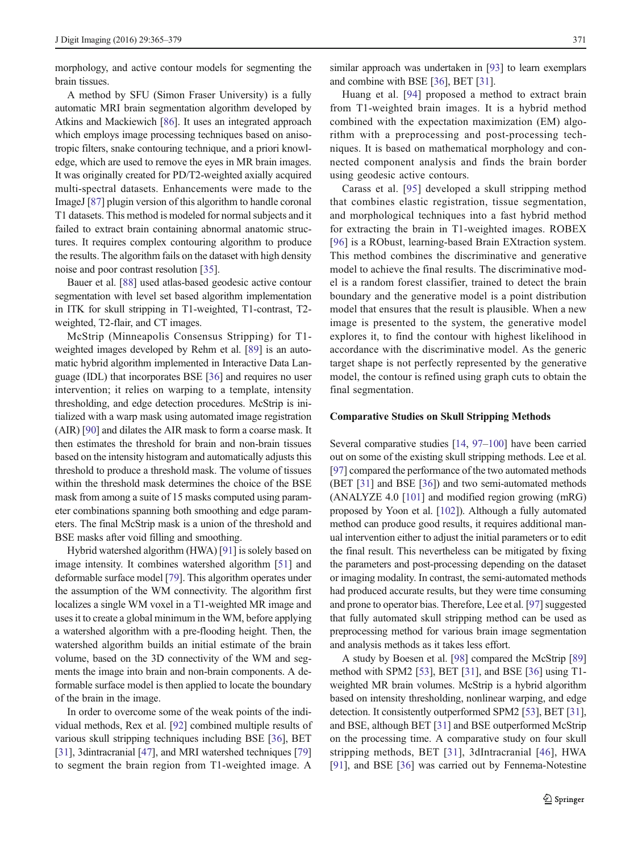morphology, and active contour models for segmenting the brain tissues.

A method by SFU (Simon Fraser University) is a fully automatic MRI brain segmentation algorithm developed by Atkins and Mackiewich [[86\]](#page-14-0). It uses an integrated approach which employs image processing techniques based on anisotropic filters, snake contouring technique, and a priori knowledge, which are used to remove the eyes in MR brain images. It was originally created for PD/T2-weighted axially acquired multi-spectral datasets. Enhancements were made to the ImageJ [\[87\]](#page-14-0) plugin version of this algorithm to handle coronal T1 datasets. This method is modeled for normal subjects and it failed to extract brain containing abnormal anatomic structures. It requires complex contouring algorithm to produce the results. The algorithm fails on the dataset with high density noise and poor contrast resolution [[35\]](#page-13-0).

Bauer et al. [\[88\]](#page-14-0) used atlas-based geodesic active contour segmentation with level set based algorithm implementation in ITK for skull stripping in T1-weighted, T1-contrast, T2 weighted, T2-flair, and CT images.

McStrip (Minneapolis Consensus Stripping) for T1 weighted images developed by Rehm et al. [\[89](#page-14-0)] is an automatic hybrid algorithm implemented in Interactive Data Language (IDL) that incorporates BSE [[36\]](#page-13-0) and requires no user intervention; it relies on warping to a template, intensity thresholding, and edge detection procedures. McStrip is initialized with a warp mask using automated image registration (AIR) [\[90](#page-14-0)] and dilates the AIR mask to form a coarse mask. It then estimates the threshold for brain and non-brain tissues based on the intensity histogram and automatically adjusts this threshold to produce a threshold mask. The volume of tissues within the threshold mask determines the choice of the BSE mask from among a suite of 15 masks computed using parameter combinations spanning both smoothing and edge parameters. The final McStrip mask is a union of the threshold and BSE masks after void filling and smoothing.

Hybrid watershed algorithm (HWA) [[91](#page-14-0)] is solely based on image intensity. It combines watershed algorithm [[51\]](#page-13-0) and deformable surface model [\[79](#page-14-0)]. This algorithm operates under the assumption of the WM connectivity. The algorithm first localizes a single WM voxel in a T1-weighted MR image and uses it to create a global minimum in the WM, before applying a watershed algorithm with a pre-flooding height. Then, the watershed algorithm builds an initial estimate of the brain volume, based on the 3D connectivity of the WM and segments the image into brain and non-brain components. A deformable surface model is then applied to locate the boundary of the brain in the image.

In order to overcome some of the weak points of the individual methods, Rex et al. [[92](#page-14-0)] combined multiple results of various skull stripping techniques including BSE [[36\]](#page-13-0), BET [\[31\]](#page-13-0), 3dintracranial [\[47](#page-13-0)], and MRI watershed techniques [\[79\]](#page-14-0) to segment the brain region from T1-weighted image. A

similar approach was undertaken in [\[93](#page-14-0)] to learn exemplars and combine with BSE [[36](#page-13-0)], BET [[31\]](#page-13-0).

Huang et al. [[94\]](#page-14-0) proposed a method to extract brain from T1-weighted brain images. It is a hybrid method combined with the expectation maximization (EM) algorithm with a preprocessing and post-processing techniques. It is based on mathematical morphology and connected component analysis and finds the brain border using geodesic active contours.

Carass et al. [\[95\]](#page-14-0) developed a skull stripping method that combines elastic registration, tissue segmentation, and morphological techniques into a fast hybrid method for extracting the brain in T1-weighted images. ROBEX [\[96\]](#page-14-0) is a RObust, learning-based Brain EXtraction system. This method combines the discriminative and generative model to achieve the final results. The discriminative model is a random forest classifier, trained to detect the brain boundary and the generative model is a point distribution model that ensures that the result is plausible. When a new image is presented to the system, the generative model explores it, to find the contour with highest likelihood in accordance with the discriminative model. As the generic target shape is not perfectly represented by the generative model, the contour is refined using graph cuts to obtain the final segmentation.

#### Comparative Studies on Skull Stripping Methods

Several comparative studies [[14,](#page-12-0) [97](#page-14-0)–[100\]](#page-14-0) have been carried out on some of the existing skull stripping methods. Lee et al. [\[97](#page-14-0)] compared the performance of the two automated methods (BET [\[31\]](#page-13-0) and BSE [[36\]](#page-13-0)) and two semi-automated methods (ANALYZE 4.0 [\[101\]](#page-14-0) and modified region growing (mRG) proposed by Yoon et al. [\[102\]](#page-14-0)). Although a fully automated method can produce good results, it requires additional manual intervention either to adjust the initial parameters or to edit the final result. This nevertheless can be mitigated by fixing the parameters and post-processing depending on the dataset or imaging modality. In contrast, the semi-automated methods had produced accurate results, but they were time consuming and prone to operator bias. Therefore, Lee et al. [\[97\]](#page-14-0) suggested that fully automated skull stripping method can be used as preprocessing method for various brain image segmentation and analysis methods as it takes less effort.

A study by Boesen et al. [\[98](#page-14-0)] compared the McStrip [\[89](#page-14-0)] method with SPM2 [[53](#page-13-0)], BET [\[31](#page-13-0)], and BSE [\[36](#page-13-0)] using T1 weighted MR brain volumes. McStrip is a hybrid algorithm based on intensity thresholding, nonlinear warping, and edge detection. It consistently outperformed SPM2 [\[53](#page-13-0)], BET [[31\]](#page-13-0), and BSE, although BET [[31](#page-13-0)] and BSE outperformed McStrip on the processing time. A comparative study on four skull stripping methods, BET [[31](#page-13-0)], 3dIntracranial [[46](#page-13-0)], HWA [\[91](#page-14-0)], and BSE [\[36](#page-13-0)] was carried out by Fennema-Notestine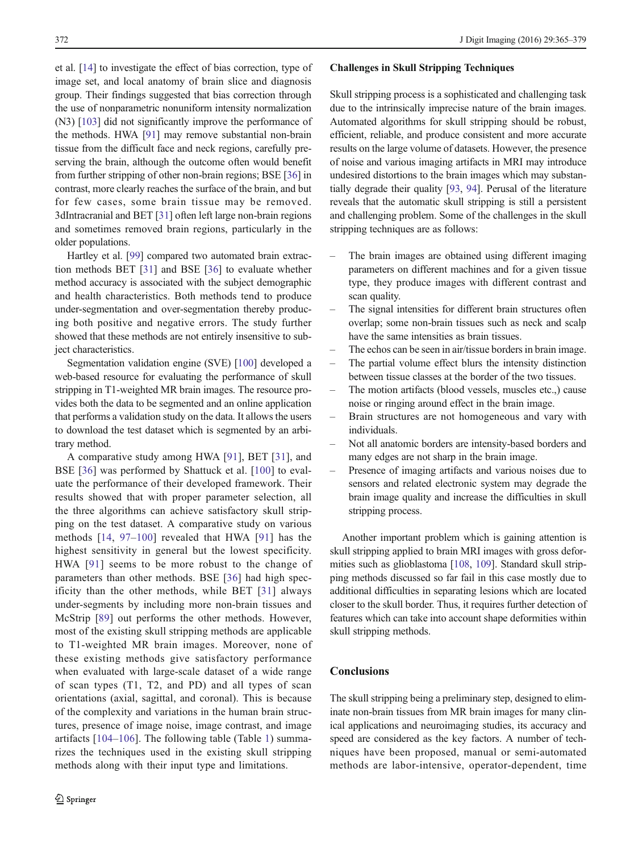et al. [\[14](#page-12-0)] to investigate the effect of bias correction, type of image set, and local anatomy of brain slice and diagnosis group. Their findings suggested that bias correction through the use of nonparametric nonuniform intensity normalization (N3) [[103](#page-14-0)] did not significantly improve the performance of the methods. HWA [\[91](#page-14-0)] may remove substantial non-brain tissue from the difficult face and neck regions, carefully preserving the brain, although the outcome often would benefit from further stripping of other non-brain regions; BSE [\[36](#page-13-0)] in contrast, more clearly reaches the surface of the brain, and but for few cases, some brain tissue may be removed. 3dIntracranial and BET [\[31](#page-13-0)] often left large non-brain regions and sometimes removed brain regions, particularly in the older populations.

Hartley et al. [\[99](#page-14-0)] compared two automated brain extraction methods BET [[31\]](#page-13-0) and BSE [[36\]](#page-13-0) to evaluate whether method accuracy is associated with the subject demographic and health characteristics. Both methods tend to produce under-segmentation and over-segmentation thereby producing both positive and negative errors. The study further showed that these methods are not entirely insensitive to subject characteristics.

Segmentation validation engine (SVE) [[100](#page-14-0)] developed a web-based resource for evaluating the performance of skull stripping in T1-weighted MR brain images. The resource provides both the data to be segmented and an online application that performs a validation study on the data. It allows the users to download the test dataset which is segmented by an arbitrary method.

A comparative study among HWA [[91\]](#page-14-0), BET [\[31\]](#page-13-0), and BSE [[36](#page-13-0)] was performed by Shattuck et al. [\[100](#page-14-0)] to evaluate the performance of their developed framework. Their results showed that with proper parameter selection, all the three algorithms can achieve satisfactory skull stripping on the test dataset. A comparative study on various methods [[14,](#page-12-0) [97](#page-14-0)–[100](#page-14-0)] revealed that HWA [\[91\]](#page-14-0) has the highest sensitivity in general but the lowest specificity. HWA [[91](#page-14-0)] seems to be more robust to the change of parameters than other methods. BSE [[36\]](#page-13-0) had high specificity than the other methods, while BET [\[31\]](#page-13-0) always under-segments by including more non-brain tissues and McStrip [[89\]](#page-14-0) out performs the other methods. However, most of the existing skull stripping methods are applicable to T1-weighted MR brain images. Moreover, none of these existing methods give satisfactory performance when evaluated with large-scale dataset of a wide range of scan types (T1, T2, and PD) and all types of scan orientations (axial, sagittal, and coronal). This is because of the complexity and variations in the human brain structures, presence of image noise, image contrast, and image artifacts [[104](#page-14-0)–[106](#page-14-0)]. The following table (Table [1\)](#page-8-0) summarizes the techniques used in the existing skull stripping methods along with their input type and limitations.

#### Challenges in Skull Stripping Techniques

Skull stripping process is a sophisticated and challenging task due to the intrinsically imprecise nature of the brain images. Automated algorithms for skull stripping should be robust, efficient, reliable, and produce consistent and more accurate results on the large volume of datasets. However, the presence of noise and various imaging artifacts in MRI may introduce undesired distortions to the brain images which may substantially degrade their quality [\[93](#page-14-0), [94\]](#page-14-0). Perusal of the literature reveals that the automatic skull stripping is still a persistent and challenging problem. Some of the challenges in the skull stripping techniques are as follows:

- The brain images are obtained using different imaging parameters on different machines and for a given tissue type, they produce images with different contrast and scan quality.
- The signal intensities for different brain structures often overlap; some non-brain tissues such as neck and scalp have the same intensities as brain tissues.
- The echos can be seen in air/tissue borders in brain image.
- The partial volume effect blurs the intensity distinction between tissue classes at the border of the two tissues.
- The motion artifacts (blood vessels, muscles etc.,) cause noise or ringing around effect in the brain image.
- Brain structures are not homogeneous and vary with individuals.
- Not all anatomic borders are intensity-based borders and many edges are not sharp in the brain image.
- Presence of imaging artifacts and various noises due to sensors and related electronic system may degrade the brain image quality and increase the difficulties in skull stripping process.

Another important problem which is gaining attention is skull stripping applied to brain MRI images with gross deformities such as glioblastoma [\[108,](#page-14-0) [109\]](#page-14-0). Standard skull stripping methods discussed so far fail in this case mostly due to additional difficulties in separating lesions which are located closer to the skull border. Thus, it requires further detection of features which can take into account shape deformities within skull stripping methods.

# **Conclusions**

The skull stripping being a preliminary step, designed to eliminate non-brain tissues from MR brain images for many clinical applications and neuroimaging studies, its accuracy and speed are considered as the key factors. A number of techniques have been proposed, manual or semi-automated methods are labor-intensive, operator-dependent, time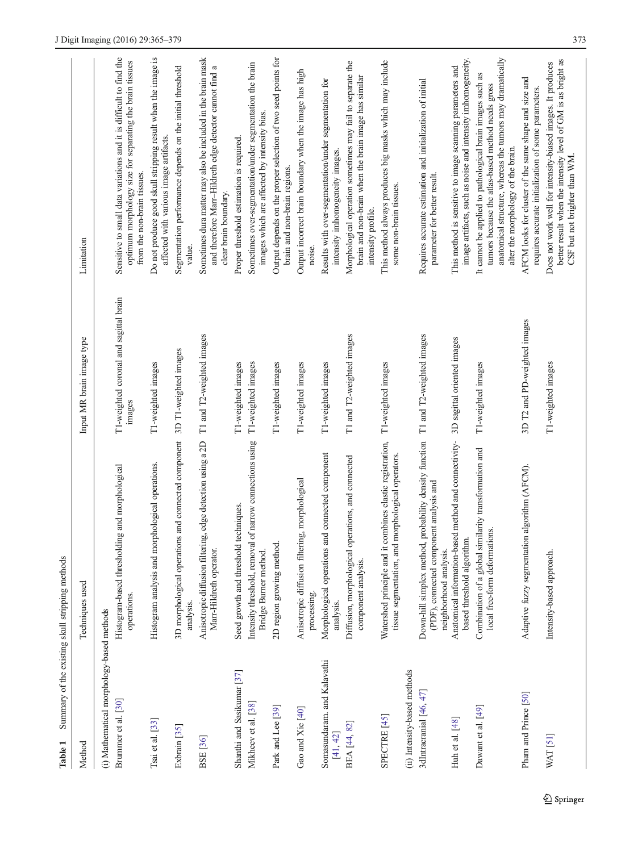<span id="page-8-0"></span>

| Table 1                                                          | Summary of the existing skull stripping methods                                                                                |                                                  |                                                                                                                                                                                                                   |
|------------------------------------------------------------------|--------------------------------------------------------------------------------------------------------------------------------|--------------------------------------------------|-------------------------------------------------------------------------------------------------------------------------------------------------------------------------------------------------------------------|
| Method                                                           | Techniques used                                                                                                                | Input MR brain image type                        | Limitation                                                                                                                                                                                                        |
| (i) Mathematical morphology-based methods<br>Brummer et al. [30] | ng and morphological<br>Histogram-based thresholdin<br>operations.                                                             | T1-weighted coronal and sagittal brain<br>images | Sensitive to small data variations and it is difficult to find the<br>optimum morphology size for separating the brain tissues<br>from the non-brain tissues.                                                     |
| Tsai et al. [33]                                                 | Histogram analysis and morphological operations.                                                                               | T1-weighted images                               | Do not produce good skull stripping result when the image is<br>affected with various image artifacts.                                                                                                            |
| Exbrain [35]                                                     | 3D morphological operations and connected component<br>analysis.                                                               | 3D T1-weighted images                            | Segmentation performance depends on the initial threshold<br>value.                                                                                                                                               |
| <b>BSE</b> [36]                                                  | g, edge detection using a 2D<br>Anisotropic diffusion filterin<br>Marr-Hildreth operator.                                      | T1 and T2-weighted images                        | Sometimes dura matter may also be included in the brain mask<br>and therefore Marr-Hildreth edge detector cannot find a<br>clear brain boundary.                                                                  |
| Shanthi and Sasikumar <sup>[37]</sup>                            | Seed growth and threshold techniques.                                                                                          | T1-weighted images                               | Proper threshold estimation is required.                                                                                                                                                                          |
| Mikhev et al. [38]                                               | of narrow connections using<br>Intensity threshold, removal<br>Bridge Burner method.                                           | T1-weighted images                               | Sometimes over-segmentation/under segmentation the brain<br>images which are affected by intensity bias.                                                                                                          |
| Park and Lee [39]                                                | 2D region growing method.                                                                                                      | T1-weighted images                               | Output depends on the proper selection of two seed points for<br>brain and non-brain regions.                                                                                                                     |
| Gao and Xie [40]                                                 | ng, morphological<br>Anisotropic diffusion filterin<br>processing.                                                             | T1-weighted images                               | Output incorrect brain boundary when the image has high<br>noise.                                                                                                                                                 |
| Somasundaram. and Kalavathi<br>[41, 42]                          | Morphological operations and connected component<br>analysis.                                                                  | T1-weighted images                               | Results with over-segmentation/under segmentation for<br>intensity imhomogeneity images.                                                                                                                          |
| BEA [44, 82]                                                     | Diffusion, morphological operations, and connected<br>component analysis.                                                      | T1 and T2-weighted images                        | Morphological operation sometimes may fail to separate the<br>brain and non-brain when the brain image has similar<br>intensity profile.                                                                          |
| SPECTRE <sup>[45]</sup>                                          | Watershed principle and it combines elastic registration,<br>morphological operators.<br>tissue segmentation, and              | T1-weighted images                               | This method always produces big masks which may include<br>some non-brain tissues.                                                                                                                                |
| (ii) Intensity-based methods                                     |                                                                                                                                |                                                  |                                                                                                                                                                                                                   |
| 3dIntracranial [46, 47]                                          | probability density function<br>(PDF), connected component analysis and<br>Down-hill simplex method,<br>neighborhood analysis. | T1 and T2-weighted images                        | Requires accurate estimation and initialization of initial<br>parameter for better result.                                                                                                                        |
| Huh et al. $[48]$                                                | Anatomical information-based method and connectivity-<br>based threshold algorithm                                             | 3D sagittal oriented images                      | image artifacts, such as noise and intensity imhomogeneity.<br>This method is sensitive to image scanning parameters and                                                                                          |
| Dawant et al. [49]                                               | Combination of a global similarity transformation and<br>local free-form deformations.                                         | T1-weighted images                               | anatomical structure, whereas the tumors may dramatically<br>It cannot be applied to pathological brain images such as<br>tumors because the atlas-based method needs gross<br>alter the morphology of the brain. |
| Pham and Prince [50]                                             | Adaptive fuzzy segmentation algorithm (AFCM).                                                                                  | 3D T2 and PD-weighted images                     | AFCM looks for cluster of the same shape and size and<br>requires accurate initialization of some parameters.                                                                                                     |
| <b>WAT</b> [51]                                                  | Intensity-based approach.                                                                                                      | T1-weighted images                               | better result when the intensity level of GM is as bright as<br>Does not work well for intensity-biased images. It produces<br>CSF but not brighter than WM.                                                      |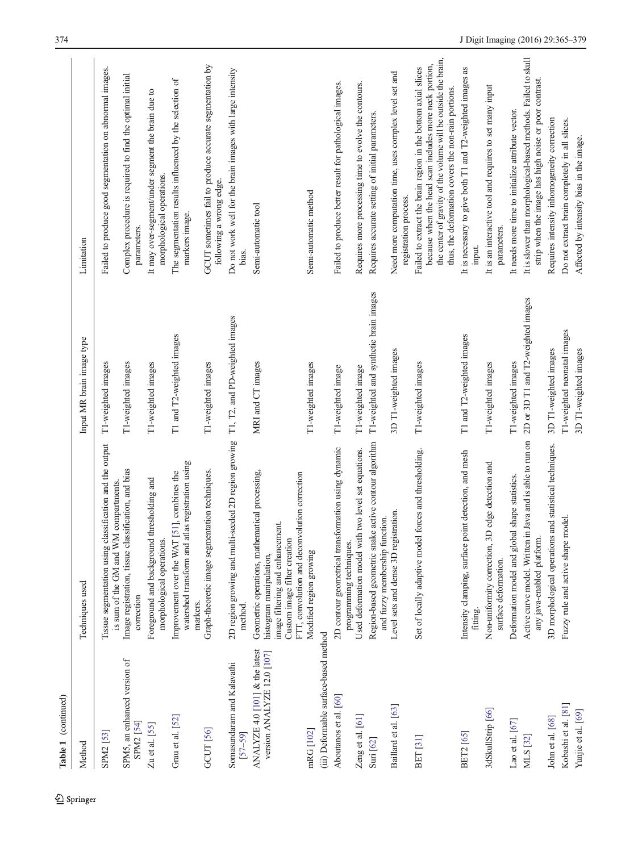| Table 1 (continued)                                          |                                                                                                                                                                                                |                                        |                                                                                                                                                                                                                                                  |
|--------------------------------------------------------------|------------------------------------------------------------------------------------------------------------------------------------------------------------------------------------------------|----------------------------------------|--------------------------------------------------------------------------------------------------------------------------------------------------------------------------------------------------------------------------------------------------|
| Method                                                       | Techniques used                                                                                                                                                                                | Input MR brain image type              | Limitation                                                                                                                                                                                                                                       |
| SPM2 [53]                                                    | Tissue segmentation using classification and the output<br>M compartments.<br>is sum of the GM and W                                                                                           | T1-weighted images                     | Failed to produce good segmentation on abnormal images                                                                                                                                                                                           |
| SPM5, an enhanced version of<br>SPM2 [54]                    | Image registration, tissue classification, and bias<br>correction                                                                                                                              | T1-weighted images                     | Complex procedure is required to find the optimal initial<br>parameters.                                                                                                                                                                         |
| Zu et al. [55]                                               | thresholding and<br>Foreground and background<br>morphological operations.                                                                                                                     | T1-weighted images                     | It may over-segment/under segment the brain due to<br>morphological operations.                                                                                                                                                                  |
| Grau et al. [52]                                             | watershed transform and atlas registration using<br>Improvement over the WAT [51], combines the<br>markers.                                                                                    | T1 and T2-weighted images              | The segmentation results influenced by the selection of<br>markers image.                                                                                                                                                                        |
| GCUT <sub>[56]</sub>                                         | Graph-theoretic image segmentation techniques.                                                                                                                                                 | T1-weighted images                     | GCUT sometimes fail to produce accurate segmentation by<br>following a wrong edge.                                                                                                                                                               |
| Somasundaram and Kalavathi<br>$[57 - 59]$                    | 2D region growing and multi-seeded 2D region growing<br>method.                                                                                                                                | T1, T2, and PD-weighted images         | Do not work well for the brain images with large intensity<br>bias.                                                                                                                                                                              |
| ANALYZE 4.0 [101] & the latest<br>version ANALYZE 12.0 [107] | Geometric operations, mathematical processing,<br>FTT, convolution and deconvolution correction<br>image filtering and enhancement.<br>Custom image filter creation<br>histogram manipulation, | MRI and CT images                      | Semi-automatic tool                                                                                                                                                                                                                              |
| (iii) Deformable surface-based method<br>mRG [102]           | Modified region growing                                                                                                                                                                        | T1-weighted images                     | Semi-automatic method                                                                                                                                                                                                                            |
| Aboutanos et al. [60]                                        | 2D contour geometrical transformation using dynamic<br>programming techniques.                                                                                                                 | T1-weighted image                      | Failed to produce better result for pathological images.                                                                                                                                                                                         |
| Zeng et al. [61]                                             | Used deformation model with two level set equations.                                                                                                                                           | T1-weighted image                      | Requires more processing time to evolve the contours.                                                                                                                                                                                            |
| Suri [62]                                                    | Region-based geometric snake active contour algorithm<br>and fuzzy membership function.                                                                                                        | T1-weighted and synthetic brain images | Requires accurate setting of initial parameters.                                                                                                                                                                                                 |
| Baillard et al. [63]                                         | Level sets and dense 3D registration.                                                                                                                                                          | 3D T1-weighted images                  | Need more computation time, uses complex level set and<br>registration process.                                                                                                                                                                  |
| <b>BET</b> [31]                                              | Set of locally adaptive model forces and thresholding.                                                                                                                                         | T1-weighted images                     | the center of gravity of the volume will be outside the brain,<br>because when the head scan includes more neck portion,<br>Failed to extract the brain region in the bottom axial slices<br>thus, the deformation covers the non-rain portions. |
| <b>BET2</b> [65]                                             | Intensity clamping, surface point detection, and mesh<br>fitting.                                                                                                                              | T1 and T2-weighted images              | It is necessary to give both T1 and T2-weighted images as<br>input.                                                                                                                                                                              |
| 3dSkullStrip [66]                                            | Non-uniformity correction, 3D edge detection and<br>surface deformation.                                                                                                                       | T1-weighted images                     | It is an interactive tool and requires to set many input<br>parameters.                                                                                                                                                                          |
| Lao et al. $[67]$                                            | Deformation model and global shape statistics.                                                                                                                                                 | T1-weighted images                     | It needs more time to initialize attribute vector.                                                                                                                                                                                               |
| MLS [32]                                                     | Active curve model. Written in Java and is able to run on<br>any java-enabled platform.                                                                                                        | 2D or 3D T1 and T2-weighted images     | It is slower than morphological-based methods. Failed to skull<br>strip when the image has high noise or poor contrast.                                                                                                                          |
| John et al. [68]                                             | 3D morphological operations and statistical techniques.                                                                                                                                        | 3D T1-weighted images                  | Requires intensity inhomogeneity correction                                                                                                                                                                                                      |
| Kobashi et al. [81]                                          | model.<br>Fuzzy rule and active shape                                                                                                                                                          | T1-weighted neonatal images            | Do not extract brain completely in all slices.                                                                                                                                                                                                   |
| Yunjie et al. [69]                                           |                                                                                                                                                                                                | 3D T1-weighted images                  | Affected by intensity bias in the image.                                                                                                                                                                                                         |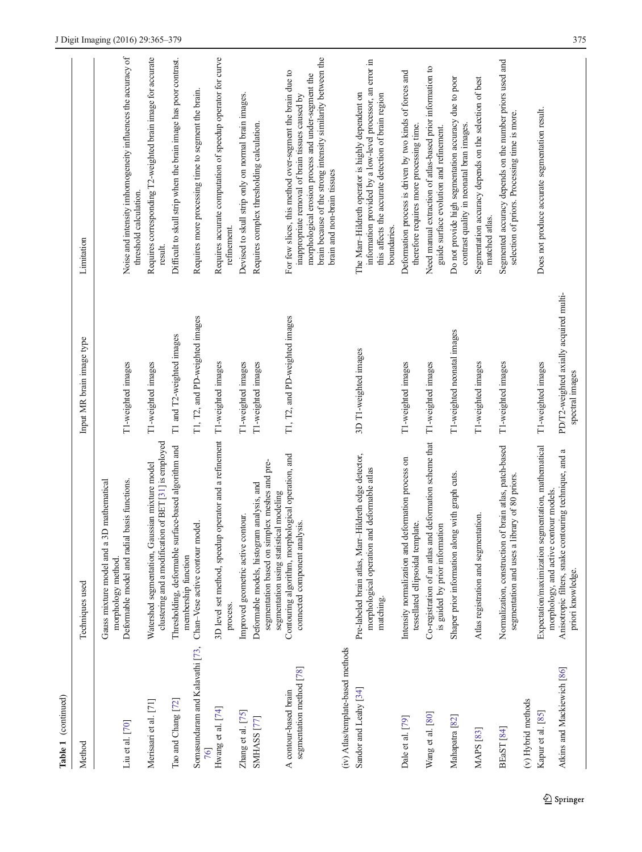| Table 1 (continued)                               |                                                                                                                                        |                                                           |                                                                                                                                                                                                                                                                     |
|---------------------------------------------------|----------------------------------------------------------------------------------------------------------------------------------------|-----------------------------------------------------------|---------------------------------------------------------------------------------------------------------------------------------------------------------------------------------------------------------------------------------------------------------------------|
| Method                                            | Techniques used                                                                                                                        | Input MR brain image type                                 | Limitation                                                                                                                                                                                                                                                          |
| Liu et al. [70]                                   | Gauss mixture model and a 3D mathematical<br>basis functions<br>Deformable model and radial<br>morphology method.                      | T1-weighted images                                        | Noise and intensity imhomogeneity influences the accuracy of<br>threshold calculation.                                                                                                                                                                              |
| Merisaari et al. [71]                             | clustering and a modification of BET [31] is employed<br>Watershed segmentation, Gaussian mixture model                                | T1-weighted images                                        | Requires corresponding T2-weighted brain image for accurate<br>result.                                                                                                                                                                                              |
| Tao and Chang [72]                                | Thresholding, deformable surface-based algorithm and<br>membership function                                                            | T1 and T2-weighted images                                 | Difficult to skull strip when the brain image has poor contrast.                                                                                                                                                                                                    |
| Somasundaram and Kalavathi [73,<br>761            | Chan-Vese active contour model.                                                                                                        | T1, T2, and PD-weighted images                            | Requires more processing time to segment the brain.                                                                                                                                                                                                                 |
| Hwang et al. [74]                                 | 3D level set method, speedup operator and a refinement<br>process.                                                                     | T1-weighted images                                        | Requires accurate computation of speedup operator for curve<br>refinement.                                                                                                                                                                                          |
| Zhang et al. [75]                                 | Improved geometric active contour.                                                                                                     | T1-weighted images                                        | Devised to skull strip only on normal brain images.                                                                                                                                                                                                                 |
| SMHASS <sub>[77]</sub>                            | segmentation based on simplex meshes and pre-<br>Deformable models, histogram analysis, and<br>segmentation using statistical modeling | T1-weighted images                                        | Requires complex thresholding calculation.                                                                                                                                                                                                                          |
| segmentation method [78]<br>A contour-based brain | Contouring algorithm, morphological operation, and<br>connected component analysis.                                                    | T1, T2, and PD-weighted images                            | brain because of the strong intensity similarity between the<br>For few slices, this method over-segment the brain due to<br>morphological erosion process and under-segment the<br>inappropriate removal of brain tissues caused by<br>brain and non-brain tissues |
| (iv) Atlas/template-based methods                 |                                                                                                                                        |                                                           |                                                                                                                                                                                                                                                                     |
| Sandor and Leahy <sup>[34]</sup>                  | Pre-labeled brain atlas, Marr-Hildreth edge detector,<br>morphological operation and deformable atlas<br>matching.                     | 3D T1-weighted images                                     | information provided by a low-level processor, an error in<br>The Marr-Hildreth operator is highly dependent on<br>this affects the accurate detection of brain region<br>boundaries.                                                                               |
| Dale et al. [79]                                  | Intensity normalization and deformation process on<br>tessellated ellipsoidal template.                                                | T1-weighted images                                        | Deformation process is driven by two kinds of forces and<br>therefore requires more processing time.                                                                                                                                                                |
| Wang et al. [80]                                  | Co-registration of an atlas and deformation scheme that<br>is guided by prior information                                              | T1-weighted images                                        | Need manual extraction of atlas-based prior information to<br>guide surface evolution and refinement.                                                                                                                                                               |
| Mahapatra [82]                                    | Shaper prior information along with graph cuts.                                                                                        | T1-weighted neonatal images                               | Do not provide high segmentation accuracy due to poor<br>contrast quality in neonatal bran images.                                                                                                                                                                  |
| MAPS [83]                                         | Atlas registration and segmentation.                                                                                                   | T1-weighted images                                        | Segmentation accuracy depends on the selection of best<br>matched atlas.                                                                                                                                                                                            |
| BEaST [84]                                        | Normalization, construction of brain atlas, patch-based<br>segmentation and uses a library of 80 priors.                               | T1-weighted images                                        | Segmented accuracy depends on the number priors used and<br>selection of priors. Processing time is more.                                                                                                                                                           |
| (v) Hybrid methods                                |                                                                                                                                        |                                                           |                                                                                                                                                                                                                                                                     |
| Kapur et al. [85]                                 | Expectation/maximization segmentation, mathematical<br>morphology, and active contour models                                           | T1-weighted images                                        | Does not produce accurate segmentation result.                                                                                                                                                                                                                      |
| Atkins and Mackiewich [86]                        | Anisotropic filters, snake contouring technique, and a<br>priori knowledge.                                                            | PD/T2-weighted axially acquired multi-<br>spectral images |                                                                                                                                                                                                                                                                     |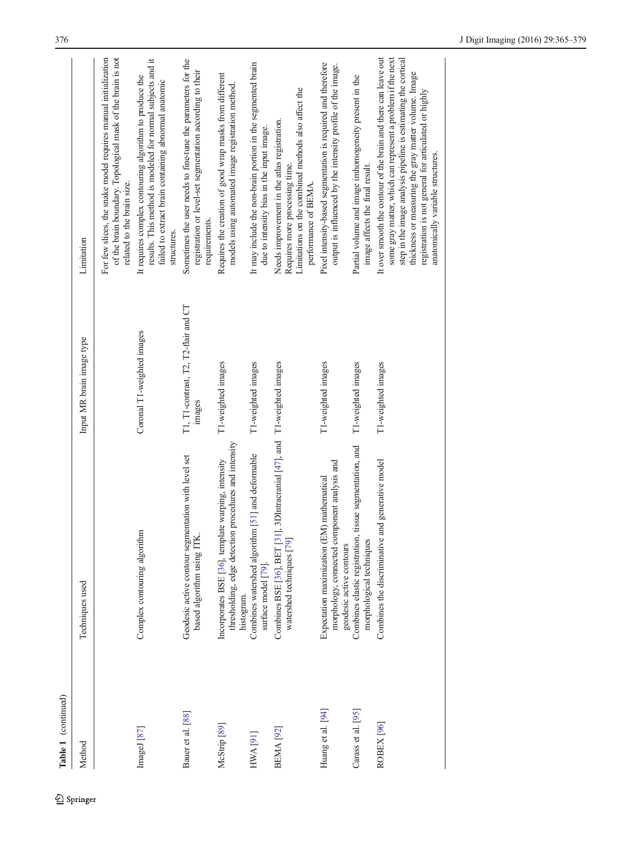| Table 1 (continued)     |                                                                                                                           |                                                |                                                                                                                                                                                                                                                                                                                                                        |
|-------------------------|---------------------------------------------------------------------------------------------------------------------------|------------------------------------------------|--------------------------------------------------------------------------------------------------------------------------------------------------------------------------------------------------------------------------------------------------------------------------------------------------------------------------------------------------------|
| Method                  | Techniques used                                                                                                           | Input MR brain image type                      | Limitation                                                                                                                                                                                                                                                                                                                                             |
|                         |                                                                                                                           |                                                | For few slices, the snake model requires manual initialization<br>of the brain boundary. Topological mask of the brain is not<br>related to the brain size.                                                                                                                                                                                            |
| ImageJ [87]             | Complex contouring algorithm                                                                                              | Coronal T1-weighted images                     | results. This method is modeled for normal subjects and it<br>It requires complex contouring algorithm to produce the<br>failed to extract brain containing abnormal anatomic<br>structures.                                                                                                                                                           |
| Bauer et al. [88]       | Geodesic active contour segmentation with level set<br>based algorithm using IT                                           | T1, T1-contrast, T2, T2-flair and CT<br>images | Sometimes the user needs to fine-tune the parameters for the<br>registration or level-set segmentation according to their<br>requirements.                                                                                                                                                                                                             |
| McStrip <sup>[89]</sup> | thresholding, edge detection procedures and intensity<br>Incorporates BSE [36], template warping, intensity<br>histogram. | T1-weighted images                             | Requires the creation of good wrap masks from different<br>models using automated image registration method.                                                                                                                                                                                                                                           |
| <b>HWA</b> [91]         | Combines watershed algorithm [51] and deformable<br>surface model [79].                                                   | T1-weighted images                             | It may include the non-brain portion in the segmented brain<br>due to intensity bias in the input image.                                                                                                                                                                                                                                               |
| BEMA [92]               | Combines BSE [36], BET [31], 3DIntracranial [47], and T1-weighted images<br>watershed techniques [79]                     |                                                | Limitations on the combined methods also affect the<br>Needs improvement in the atlas registration.<br>Requires more processing time.<br>performance of BEMA.                                                                                                                                                                                          |
| Huang et al. [94]       | morphology, connected component analysis and<br>Expectation maximization (EM) mathematical<br>geodesic active contours    | T1-weighted images                             | Pixel intensity-based segmentation is required and therefore<br>output is influenced by the intensity profile of the image.                                                                                                                                                                                                                            |
| Carass et al. [95]      | Combines elastic registration, tissue segmentation, and<br>morphological techniques                                       | T1-weighted images                             | Partial volume and image imhomogeneity present in the<br>image affects the final result.                                                                                                                                                                                                                                                               |
| ROBEX [96]              | Combines the discriminative and generative model                                                                          | T1-weighted images                             | It over smooth the contour of the brain and there can leave out<br>some gray matter, which can represent a problem if the next<br>step in the image analysis pipeline is estimating the cortical<br>thickness or measuring the gray matter volume. Image<br>registration is not general for articulated or highly<br>anatomically variable structures. |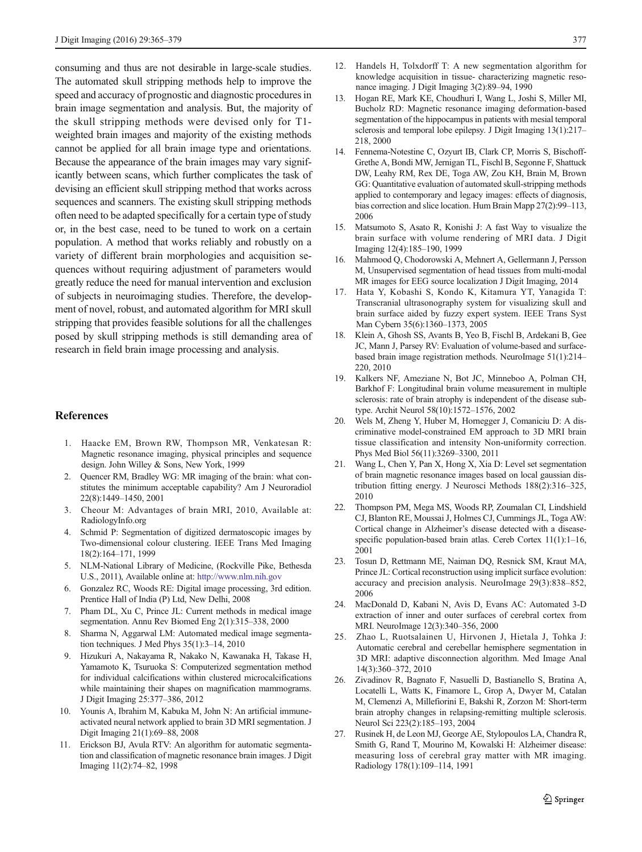<span id="page-12-0"></span>consuming and thus are not desirable in large-scale studies. The automated skull stripping methods help to improve the speed and accuracy of prognostic and diagnostic procedures in brain image segmentation and analysis. But, the majority of the skull stripping methods were devised only for T1 weighted brain images and majority of the existing methods cannot be applied for all brain image type and orientations. Because the appearance of the brain images may vary significantly between scans, which further complicates the task of devising an efficient skull stripping method that works across sequences and scanners. The existing skull stripping methods often need to be adapted specifically for a certain type of study or, in the best case, need to be tuned to work on a certain population. A method that works reliably and robustly on a variety of different brain morphologies and acquisition sequences without requiring adjustment of parameters would greatly reduce the need for manual intervention and exclusion of subjects in neuroimaging studies. Therefore, the development of novel, robust, and automated algorithm for MRI skull stripping that provides feasible solutions for all the challenges posed by skull stripping methods is still demanding area of research in field brain image processing and analysis.

## References

- 1. Haacke EM, Brown RW, Thompson MR, Venkatesan R: Magnetic resonance imaging, physical principles and sequence design. John Willey & Sons, New York, 1999
- 2. Quencer RM, Bradley WG: MR imaging of the brain: what constitutes the minimum acceptable capability? Am J Neuroradiol 22(8):1449–1450, 2001
- 3. Cheour M: Advantages of brain MRI, 2010, Available at: RadiologyInfo.org
- 4. Schmid P: Segmentation of digitized dermatoscopic images by Two-dimensional colour clustering. IEEE Trans Med Imaging 18(2):164–171, 1999
- 5. NLM-National Library of Medicine, (Rockville Pike, Bethesda U.S., 2011), Available online at: [http://www.nlm.nih.gov](http://www.nlm.nih.gov/)
- 6. Gonzalez RC, Woods RE: Digital image processing, 3rd edition. Prentice Hall of India (P) Ltd, New Delhi, 2008
- 7. Pham DL, Xu C, Prince JL: Current methods in medical image segmentation. Annu Rev Biomed Eng 2(1):315–338, 2000
- 8. Sharma N, Aggarwal LM: Automated medical image segmentation techniques. J Med Phys 35(1):3–14, 2010
- 9. Hizukuri A, Nakayama R, Nakako N, Kawanaka H, Takase H, Yamamoto K, Tsuruoka S: Computerized segmentation method for individual calcifications within clustered microcalcifications while maintaining their shapes on magnification mammograms. J Digit Imaging 25:377–386, 2012
- 10. Younis A, Ibrahim M, Kabuka M, John N: An artificial immuneactivated neural network applied to brain 3D MRI segmentation. J Digit Imaging 21(1):69–88, 2008
- 11. Erickson BJ, Avula RTV: An algorithm for automatic segmentation and classification of magnetic resonance brain images. J Digit Imaging 11(2):74–82, 1998
- 12. Handels H, Tolxdorff T: A new segmentation algorithm for knowledge acquisition in tissue- characterizing magnetic resonance imaging. J Digit Imaging 3(2):89–94, 1990
- 13. Hogan RE, Mark KE, Choudhuri I, Wang L, Joshi S, Miller MI, Bucholz RD: Magnetic resonance imaging deformation-based segmentation of the hippocampus in patients with mesial temporal sclerosis and temporal lobe epilepsy. J Digit Imaging 13(1):217– 218, 2000
- 14. Fennema-Notestine C, Ozyurt IB, Clark CP, Morris S, Bischoff-Grethe A, Bondi MW, Jernigan TL, Fischl B, Segonne F, Shattuck DW, Leahy RM, Rex DE, Toga AW, Zou KH, Brain M, Brown GG: Quantitative evaluation of automated skull-stripping methods applied to contemporary and legacy images: effects of diagnosis, bias correction and slice location. Hum Brain Mapp 27(2):99–113, 2006
- 15. Matsumoto S, Asato R, Konishi J: A fast Way to visualize the brain surface with volume rendering of MRI data. J Digit Imaging 12(4):185–190, 1999
- 16. Mahmood Q, Chodorowski A, Mehnert A, Gellermann J, Persson M, Unsupervised segmentation of head tissues from multi-modal MR images for EEG source localization J Digit Imaging, 2014
- 17. Hata Y, Kobashi S, Kondo K, Kitamura YT, Yanagida T: Transcranial ultrasonography system for visualizing skull and brain surface aided by fuzzy expert system. IEEE Trans Syst Man Cybern 35(6):1360–1373, 2005
- 18. Klein A, Ghosh SS, Avants B, Yeo B, Fischl B, Ardekani B, Gee JC, Mann J, Parsey RV: Evaluation of volume-based and surfacebased brain image registration methods. NeuroImage 51(1):214– 220, 2010
- 19. Kalkers NF, Ameziane N, Bot JC, Minneboo A, Polman CH, Barkhof F: Longitudinal brain volume measurement in multiple sclerosis: rate of brain atrophy is independent of the disease subtype. Archit Neurol 58(10):1572–1576, 2002
- 20. Wels M, Zheng Y, Huber M, Hornegger J, Comaniciu D: A discriminative model-constrained EM approach to 3D MRI brain tissue classification and intensity Non-uniformity correction. Phys Med Biol 56(11):3269–3300, 2011
- 21. Wang L, Chen Y, Pan X, Hong X, Xia D: Level set segmentation of brain magnetic resonance images based on local gaussian distribution fitting energy. J Neurosci Methods 188(2):316–325, 2010
- 22. Thompson PM, Mega MS, Woods RP, Zoumalan CI, Lindshield CJ, Blanton RE, Moussai J, Holmes CJ, Cummings JL, Toga AW: Cortical change in Alzheimer's disease detected with a diseasespecific population-based brain atlas. Cereb Cortex 11(1):1–16, 2001
- 23. Tosun D, Rettmann ME, Naiman DQ, Resnick SM, Kraut MA, Prince JL: Cortical reconstruction using implicit surface evolution: accuracy and precision analysis. NeuroImage 29(3):838–852, 2006
- 24. MacDonald D, Kabani N, Avis D, Evans AC: Automated 3-D extraction of inner and outer surfaces of cerebral cortex from MRI. NeuroImage 12(3):340–356, 2000
- 25. Zhao L, Ruotsalainen U, Hirvonen J, Hietala J, Tohka J: Automatic cerebral and cerebellar hemisphere segmentation in 3D MRI: adaptive disconnection algorithm. Med Image Anal 14(3):360–372, 2010
- 26. Zivadinov R, Bagnato F, Nasuelli D, Bastianello S, Bratina A, Locatelli L, Watts K, Finamore L, Grop A, Dwyer M, Catalan M, Clemenzi A, Millefiorini E, Bakshi R, Zorzon M: Short-term brain atrophy changes in relapsing-remitting multiple sclerosis. Neurol Sci 223(2):185–193, 2004
- 27. Rusinek H, de Leon MJ, George AE, Stylopoulos LA, Chandra R, Smith G, Rand T, Mourino M, Kowalski H: Alzheimer disease: measuring loss of cerebral gray matter with MR imaging. Radiology 178(1):109–114, 1991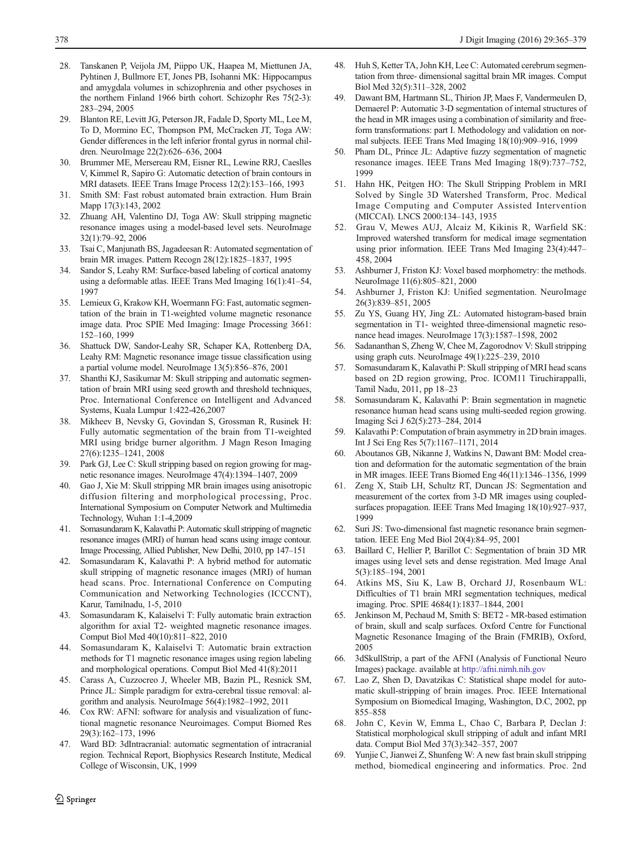- <span id="page-13-0"></span>28. Tanskanen P, Veijola JM, Piippo UK, Haapea M, Miettunen JA, Pyhtinen J, Bullmore ET, Jones PB, Isohanni MK: Hippocampus and amygdala volumes in schizophrenia and other psychoses in the northern Finland 1966 birth cohort. Schizophr Res 75(2-3): 283–294, 2005
- 29. Blanton RE, Levitt JG, Peterson JR, Fadale D, Sporty ML, Lee M, To D, Mormino EC, Thompson PM, McCracken JT, Toga AW: Gender differences in the left inferior frontal gyrus in normal children. NeuroImage 22(2):626–636, 2004
- 30. Brummer ME, Mersereau RM, Eisner RL, Lewine RRJ, Caeslles V, Kimmel R, Sapiro G: Automatic detection of brain contours in MRI datasets. IEEE Trans Image Process 12(2):153–166, 1993
- 31. Smith SM: Fast robust automated brain extraction. Hum Brain Mapp 17(3):143, 2002
- 32. Zhuang AH, Valentino DJ, Toga AW: Skull stripping magnetic resonance images using a model-based level sets. NeuroImage 32(1):79–92, 2006
- 33. Tsai C, Manjunath BS, Jagadeesan R: Automated segmentation of brain MR images. Pattern Recogn 28(12):1825–1837, 1995
- 34. Sandor S, Leahy RM: Surface-based labeling of cortical anatomy using a deformable atlas. IEEE Trans Med Imaging 16(1):41–54, 1997
- 35. Lemieux G, Krakow KH, Woermann FG: Fast, automatic segmentation of the brain in T1-weighted volume magnetic resonance image data. Proc SPIE Med Imaging: Image Processing 3661: 152–160, 1999
- 36. Shattuck DW, Sandor-Leahy SR, Schaper KA, Rottenberg DA, Leahy RM: Magnetic resonance image tissue classification using a partial volume model. NeuroImage 13(5):856–876, 2001
- 37. Shanthi KJ, Sasikumar M: Skull stripping and automatic segmentation of brain MRI using seed growth and threshold techniques, Proc. International Conference on Intelligent and Advanced Systems, Kuala Lumpur 1:422-426,2007
- 38. Mikheev B, Nevsky G, Govindan S, Grossman R, Rusinek H: Fully automatic segmentation of the brain from T1-weighted MRI using bridge burner algorithm. J Magn Reson Imaging 27(6):1235–1241, 2008
- 39. Park GJ, Lee C: Skull stripping based on region growing for magnetic resonance images. NeuroImage 47(4):1394–1407, 2009
- 40. Gao J, Xie M: Skull stripping MR brain images using anisotropic diffusion filtering and morphological processing, Proc. International Symposium on Computer Network and Multimedia Technology, Wuhan 1:1-4,2009
- 41. Somasundaram K, Kalavathi P: Automatic skull stripping of magnetic resonance images (MRI) of human head scans using image contour. Image Processing, Allied Publisher, New Delhi, 2010, pp 147–151
- 42. Somasundaram K, Kalavathi P: A hybrid method for automatic skull stripping of magnetic resonance images (MRI) of human head scans. Proc. International Conference on Computing Communication and Networking Technologies (ICCCNT), Karur, Tamilnadu, 1-5, 2010
- 43. Somasundaram K, Kalaiselvi T: Fully automatic brain extraction algorithm for axial T2- weighted magnetic resonance images. Comput Biol Med 40(10):811–822, 2010
- 44. Somasundaram K, Kalaiselvi T: Automatic brain extraction methods for T1 magnetic resonance images using region labeling and morphological operations. Comput Biol Med 41(8):2011
- 45. Carass A, Cuzzocreo J, Wheeler MB, Bazin PL, Resnick SM, Prince JL: Simple paradigm for extra-cerebral tissue removal: algorithm and analysis. NeuroImage 56(4):1982–1992, 2011
- 46. Cox RW: AFNI: software for analysis and visualization of functional magnetic resonance Neuroimages. Comput Biomed Res 29(3):162–173, 1996
- 47. Ward BD: 3dIntracranial: automatic segmentation of intracranial region. Technical Report, Biophysics Research Institute, Medical College of Wisconsin, UK, 1999
- 48. Huh S, Ketter TA, John KH, Lee C: Automated cerebrum segmentation from three- dimensional sagittal brain MR images. Comput Biol Med 32(5):311–328, 2002
- 49. Dawant BM, Hartmann SL, Thirion JP, Maes F, Vandermeulen D, Demaerel P: Automatic 3-D segmentation of internal structures of the head in MR images using a combination of similarity and freeform transformations: part I. Methodology and validation on normal subjects. IEEE Trans Med Imaging 18(10):909–916, 1999
- 50. Pham DL, Prince JL: Adaptive fuzzy segmentation of magnetic resonance images. IEEE Trans Med Imaging 18(9):737–752, 1999
- 51. Hahn HK, Peitgen HO: The Skull Stripping Problem in MRI Solved by Single 3D Watershed Transform, Proc. Medical Image Computing and Computer Assisted Intervention (MICCAI). LNCS 2000:134–143, 1935
- 52. Grau V, Mewes AUJ, Alcaiz M, Kikinis R, Warfield SK: Improved watershed transform for medical image segmentation using prior information. IEEE Trans Med Imaging 23(4):447– 458, 2004
- 53. Ashburner J, Friston KJ: Voxel based morphometry: the methods. NeuroImage 11(6):805–821, 2000
- 54. Ashburner J, Friston KJ: Unified segmentation. NeuroImage 26(3):839–851, 2005
- 55. Zu YS, Guang HY, Jing ZL: Automated histogram-based brain segmentation in T1- weighted three-dimensional magnetic resonance head images. NeuroImage 17(3):1587–1598, 2002
- 56. Sadananthan S, Zheng W, Chee M, Zagorodnov V: Skull stripping using graph cuts. NeuroImage 49(1):225–239, 2010
- 57. Somasundaram K, Kalavathi P: Skull stripping of MRI head scans based on 2D region growing, Proc. ICOM11 Tiruchirappalli, Tamil Nadu, 2011, pp 18–23
- 58. Somasundaram K, Kalavathi P: Brain segmentation in magnetic resonance human head scans using multi-seeded region growing. Imaging Sci J 62(5):273–284, 2014
- 59. Kalavathi P: Computation of brain asymmetry in 2D brain images. Int J Sci Eng Res 5(7):1167–1171, 2014
- 60. Aboutanos GB, Nikanne J, Watkins N, Dawant BM: Model creation and deformation for the automatic segmentation of the brain in MR images. IEEE Trans Biomed Eng 46(11):1346–1356, 1999
- 61. Zeng X, Staib LH, Schultz RT, Duncan JS: Segmentation and measurement of the cortex from 3-D MR images using coupledsurfaces propagation. IEEE Trans Med Imaging 18(10):927–937, 1999
- 62. Suri JS: Two-dimensional fast magnetic resonance brain segmentation. IEEE Eng Med Biol 20(4):84–95, 2001
- 63. Baillard C, Hellier P, Barillot C: Segmentation of brain 3D MR images using level sets and dense registration. Med Image Anal 5(3):185–194, 2001
- 64. Atkins MS, Siu K, Law B, Orchard JJ, Rosenbaum WL: Difficulties of T1 brain MRI segmentation techniques, medical imaging. Proc. SPIE 4684(1):1837–1844, 2001
- 65. Jenkinson M, Pechaud M, Smith S: BET2 MR-based estimation of brain, skull and scalp surfaces. Oxford Centre for Functional Magnetic Resonance Imaging of the Brain (FMRIB), Oxford, 2005
- 66. 3dSkullStrip, a part of the AFNI (Analysis of Functional Neuro Images) package. available at [http://afni.nimh.nih.gov](http://afni.nimh.nih.gov/)
- 67. Lao Z, Shen D, Davatzikas C: Statistical shape model for automatic skull-stripping of brain images. Proc. IEEE International Symposium on Biomedical Imaging, Washington, D.C, 2002, pp 855–858
- 68. John C, Kevin W, Emma L, Chao C, Barbara P, Declan J: Statistical morphological skull stripping of adult and infant MRI data. Comput Biol Med 37(3):342–357, 2007
- 69. Yunjie C, Jianwei Z, Shunfeng W: A new fast brain skull stripping method, biomedical engineering and informatics. Proc. 2nd